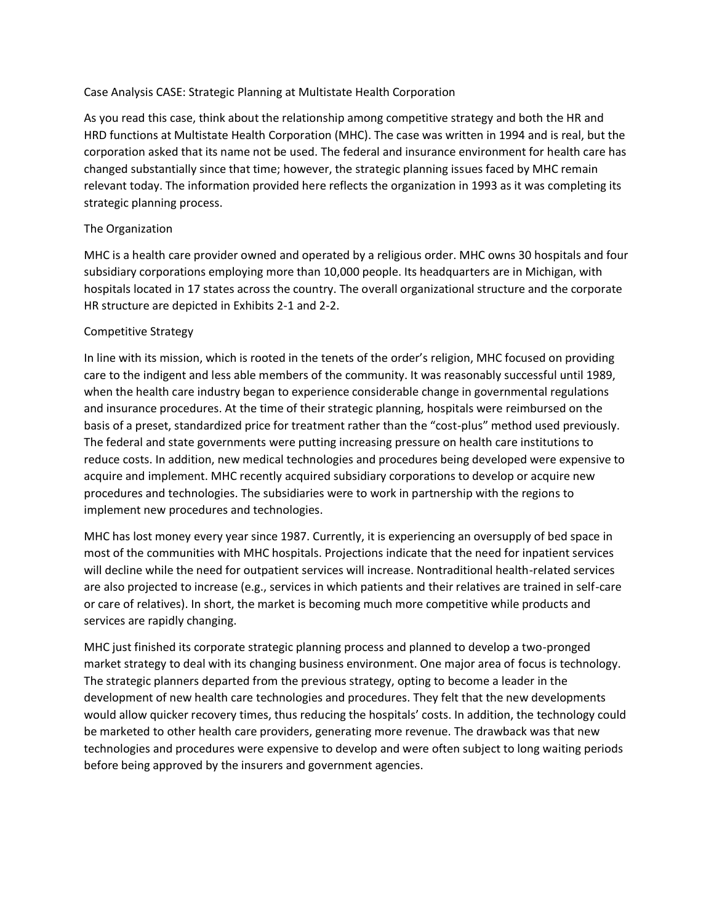#### Case Analysis CASE: Strategic Planning at Multistate Health Corporation

As you read this case, think about the relationship among competitive strategy and both the HR and HRD functions at Multistate Health Corporation (MHC). The case was written in 1994 and is real, but the corporation asked that its name not be used. The federal and insurance environment for health care has changed substantially since that time; however, the strategic planning issues faced by MHC remain relevant today. The information provided here reflects the organization in 1993 as it was completing its strategic planning process.

#### The Organization

MHC is a health care provider owned and operated by a religious order. MHC owns 30 hospitals and four subsidiary corporations employing more than 10,000 people. Its headquarters are in Michigan, with hospitals located in 17 states across the country. The overall organizational structure and the corporate HR structure are depicted in Exhibits 2-1 and 2-2.

#### Competitive Strategy

In line with its mission, which is rooted in the tenets of the order's religion, MHC focused on providing care to the indigent and less able members of the community. It was reasonably successful until 1989, when the health care industry began to experience considerable change in governmental regulations and insurance procedures. At the time of their strategic planning, hospitals were reimbursed on the basis of a preset, standardized price for treatment rather than the "cost-plus" method used previously. The federal and state governments were putting increasing pressure on health care institutions to reduce costs. In addition, new medical technologies and procedures being developed were expensive to acquire and implement. MHC recently acquired subsidiary corporations to develop or acquire new procedures and technologies. The subsidiaries were to work in partnership with the regions to implement new procedures and technologies.

MHC has lost money every year since 1987. Currently, it is experiencing an oversupply of bed space in most of the communities with MHC hospitals. Projections indicate that the need for inpatient services will decline while the need for outpatient services will increase. Nontraditional health-related services are also projected to increase (e.g., services in which patients and their relatives are trained in self-care or care of relatives). In short, the market is becoming much more competitive while products and services are rapidly changing.

MHC just finished its corporate strategic planning process and planned to develop a two-pronged market strategy to deal with its changing business environment. One major area of focus is technology. The strategic planners departed from the previous strategy, opting to become a leader in the development of new health care technologies and procedures. They felt that the new developments would allow quicker recovery times, thus reducing the hospitals' costs. In addition, the technology could be marketed to other health care providers, generating more revenue. The drawback was that new technologies and procedures were expensive to develop and were often subject to long waiting periods before being approved by the insurers and government agencies.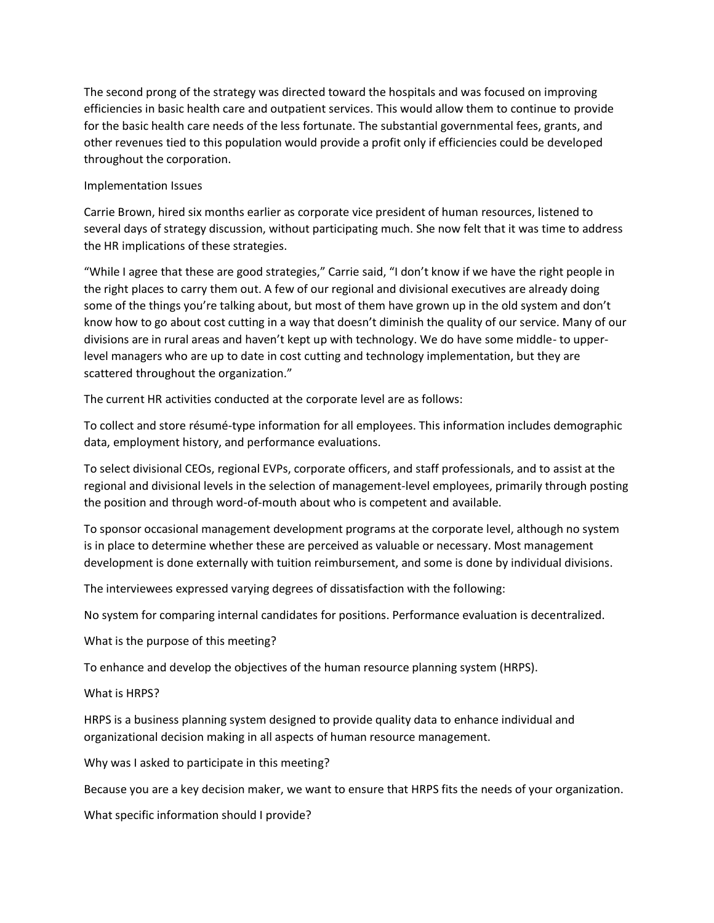The second prong of the strategy was directed toward the hospitals and was focused on improving efficiencies in basic health care and outpatient services. This would allow them to continue to provide for the basic health care needs of the less fortunate. The substantial governmental fees, grants, and other revenues tied to this population would provide a profit only if efficiencies could be developed throughout the corporation.

### Implementation Issues

Carrie Brown, hired six months earlier as corporate vice president of human resources, listened to several days of strategy discussion, without participating much. She now felt that it was time to address the HR implications of these strategies.

"While I agree that these are good strategies," Carrie said, "I don't know if we have the right people in the right places to carry them out. A few of our regional and divisional executives are already doing some of the things you're talking about, but most of them have grown up in the old system and don't know how to go about cost cutting in a way that doesn't diminish the quality of our service. Many of our divisions are in rural areas and haven't kept up with technology. We do have some middle- to upperlevel managers who are up to date in cost cutting and technology implementation, but they are scattered throughout the organization."

The current HR activities conducted at the corporate level are as follows:

To collect and store résumé-type information for all employees. This information includes demographic data, employment history, and performance evaluations.

To select divisional CEOs, regional EVPs, corporate officers, and staff professionals, and to assist at the regional and divisional levels in the selection of management-level employees, primarily through posting the position and through word-of-mouth about who is competent and available.

To sponsor occasional management development programs at the corporate level, although no system is in place to determine whether these are perceived as valuable or necessary. Most management development is done externally with tuition reimbursement, and some is done by individual divisions.

The interviewees expressed varying degrees of dissatisfaction with the following:

No system for comparing internal candidates for positions. Performance evaluation is decentralized.

What is the purpose of this meeting?

To enhance and develop the objectives of the human resource planning system (HRPS).

What is HRPS?

HRPS is a business planning system designed to provide quality data to enhance individual and organizational decision making in all aspects of human resource management.

Why was I asked to participate in this meeting?

Because you are a key decision maker, we want to ensure that HRPS fits the needs of your organization.

What specific information should I provide?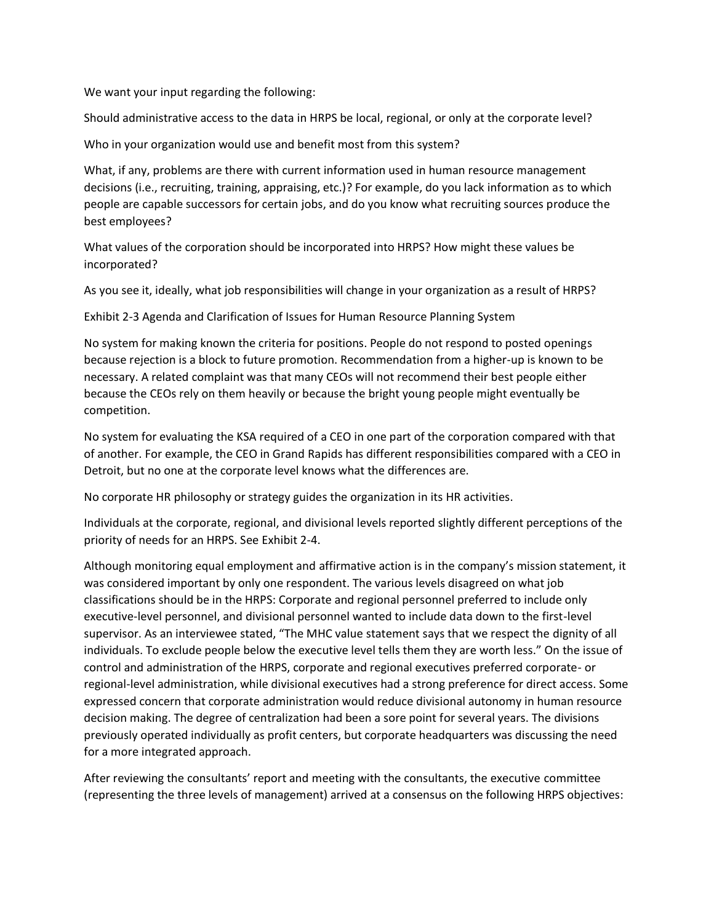We want your input regarding the following:

Should administrative access to the data in HRPS be local, regional, or only at the corporate level?

Who in your organization would use and benefit most from this system?

What, if any, problems are there with current information used in human resource management decisions (i.e., recruiting, training, appraising, etc.)? For example, do you lack information as to which people are capable successors for certain jobs, and do you know what recruiting sources produce the best employees?

What values of the corporation should be incorporated into HRPS? How might these values be incorporated?

As you see it, ideally, what job responsibilities will change in your organization as a result of HRPS?

Exhibit 2-3 Agenda and Clarification of Issues for Human Resource Planning System

No system for making known the criteria for positions. People do not respond to posted openings because rejection is a block to future promotion. Recommendation from a higher-up is known to be necessary. A related complaint was that many CEOs will not recommend their best people either because the CEOs rely on them heavily or because the bright young people might eventually be competition.

No system for evaluating the KSA required of a CEO in one part of the corporation compared with that of another. For example, the CEO in Grand Rapids has different responsibilities compared with a CEO in Detroit, but no one at the corporate level knows what the differences are.

No corporate HR philosophy or strategy guides the organization in its HR activities.

Individuals at the corporate, regional, and divisional levels reported slightly different perceptions of the priority of needs for an HRPS. See Exhibit 2-4.

Although monitoring equal employment and affirmative action is in the company's mission statement, it was considered important by only one respondent. The various levels disagreed on what job classifications should be in the HRPS: Corporate and regional personnel preferred to include only executive-level personnel, and divisional personnel wanted to include data down to the first-level supervisor. As an interviewee stated, "The MHC value statement says that we respect the dignity of all individuals. To exclude people below the executive level tells them they are worth less." On the issue of control and administration of the HRPS, corporate and regional executives preferred corporate- or regional-level administration, while divisional executives had a strong preference for direct access. Some expressed concern that corporate administration would reduce divisional autonomy in human resource decision making. The degree of centralization had been a sore point for several years. The divisions previously operated individually as profit centers, but corporate headquarters was discussing the need for a more integrated approach.

After reviewing the consultants' report and meeting with the consultants, the executive committee (representing the three levels of management) arrived at a consensus on the following HRPS objectives: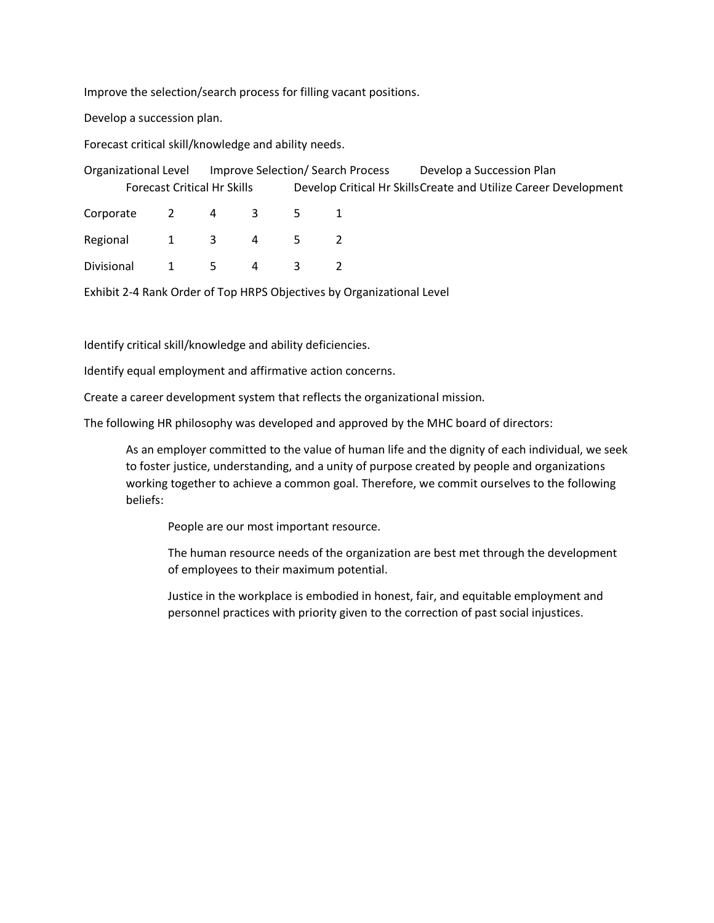Improve the selection/search process for filling vacant positions.

Develop a succession plan.

Forecast critical skill/knowledge and ability needs.

Organizational Level Improve Selection/ Search Process Develop a Succession Plan Forecast Critical Hr Skills Develop Critical Hr SkillsCreate and Utilize Career Development

| Corporate  |   |    |  |
|------------|---|----|--|
| Regional   | 3 |    |  |
| Divisional | 5 | بر |  |

Exhibit 2-4 Rank Order of Top HRPS Objectives by Organizational Level

Identify critical skill/knowledge and ability deficiencies.

Identify equal employment and affirmative action concerns.

Create a career development system that reflects the organizational mission.

The following HR philosophy was developed and approved by the MHC board of directors:

As an employer committed to the value of human life and the dignity of each individual, we seek to foster justice, understanding, and a unity of purpose created by people and organizations working together to achieve a common goal. Therefore, we commit ourselves to the following beliefs:

People are our most important resource.

The human resource needs of the organization are best met through the development of employees to their maximum potential.

Justice in the workplace is embodied in honest, fair, and equitable employment and personnel practices with priority given to the correction of past social injustices.